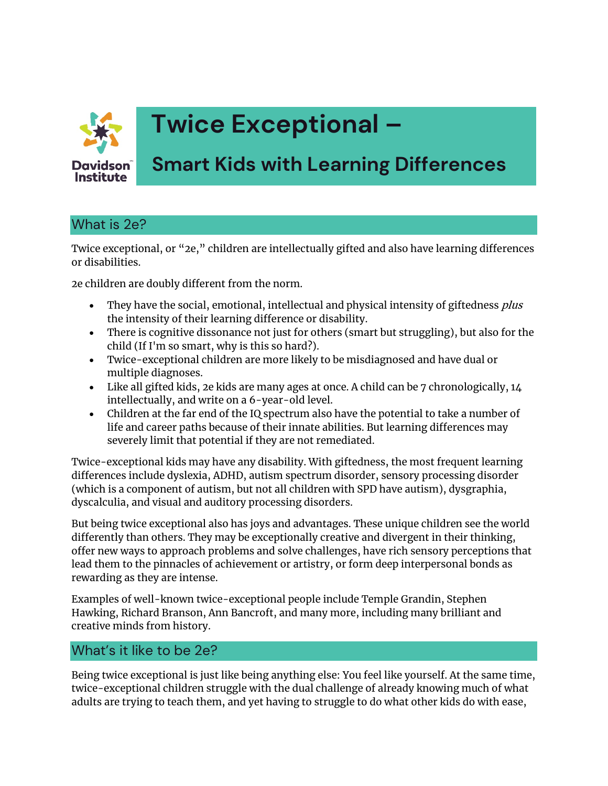

# **Twice Exceptional –**

# **Smart Kids with Learning Differences**

## What is 2e?

Twice exceptional, or "2e," children are intellectually gifted and also have learning differences or disabilities.

2e children are doubly different from the norm.

- They have the social, emotional, intellectual and physical intensity of giftedness *plus* the intensity of their learning difference or disability.
- There is cognitive dissonance not just for others (smart but struggling), but also for the child (If I'm so smart, why is this so hard?).
- Twice-exceptional children are more likely to be misdiagnosed and have dual or multiple diagnoses.
- Like all gifted kids, 2e kids are many ages at once. A child can be 7 chronologically, 14 intellectually, and write on a 6-year-old level.
- Children at the far end of the IQ spectrum also have the potential to take a number of life and career paths because of their innate abilities. But learning differences may severely limit that potential if they are not remediated.

Twice-exceptional kids may have any disability. With giftedness, the most frequent learning differences include dyslexia, ADHD, autism spectrum disorder, sensory processing disorder (which is a component of autism, but not all children with SPD have autism), dysgraphia, dyscalculia, and visual and auditory processing disorders.

But being twice exceptional also has joys and advantages. These unique children see the world differently than others. They may be exceptionally creative and divergent in their thinking, offer new ways to approach problems and solve challenges, have rich sensory perceptions that lead them to the pinnacles of achievement or artistry, or form deep interpersonal bonds as rewarding as they are intense.

Examples of well-known twice-exceptional people include Temple Grandin, Stephen Hawking, Richard Branson, Ann Bancroft, and many more, including many brilliant and creative minds from history.

#### What's it like to be 2e?

Being twice exceptional is just like being anything else: You feel like yourself. At the same time, twice-exceptional children struggle with the dual challenge of already knowing much of what adults are trying to teach them, and yet having to struggle to do what other kids do with ease,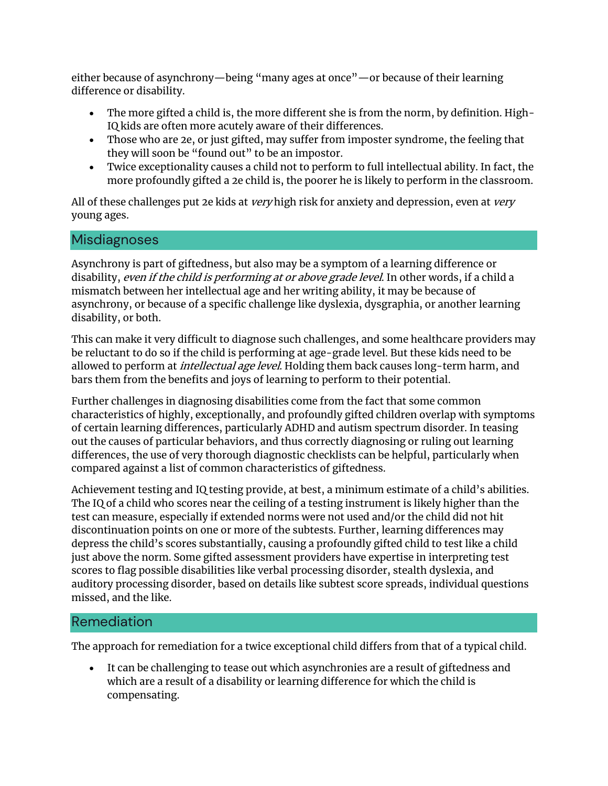either because of asynchrony—being "many ages at once"—or because of their learning difference or disability.

- The more gifted a child is, the more different she is from the norm, by definition. High-IQ kids are often more acutely aware of their differences.
- Those who are 2e, or just gifted, may suffer from imposter syndrome, the feeling that they will soon be "found out" to be an impostor.
- Twice exceptionality causes a child not to perform to full intellectual ability. In fact, the more profoundly gifted a 2e child is, the poorer he is likely to perform in the classroom.

All of these challenges put 2e kids at very high risk for anxiety and depression, even at very young ages.

#### Misdiagnoses

Asynchrony is part of giftedness, but also may be a symptom of a learning difference or disability, even if the child is performing at or above grade level. In other words, if a child a mismatch between her intellectual age and her writing ability, it may be because of asynchrony, or because of a specific challenge like dyslexia, dysgraphia, or another learning disability, or both.

This can make it very difficult to diagnose such challenges, and some healthcare providers may be reluctant to do so if the child is performing at age-grade level. But these kids need to be allowed to perform at *intellectual age level*. Holding them back causes long-term harm, and bars them from the benefits and joys of learning to perform to their potential.

Further challenges in diagnosing disabilities come from the fact that some common characteristics of highly, exceptionally, and profoundly gifted children overlap with symptoms of certain learning differences, particularly ADHD and autism spectrum disorder. In teasing out the causes of particular behaviors, and thus correctly diagnosing or ruling out learning differences, the use of very thorough diagnostic checklists can be helpful, particularly when compared against a list of common characteristics of giftedness.

Achievement testing and IQ testing provide, at best, a minimum estimate of a child's abilities. The IQ of a child who scores near the ceiling of a testing instrument is likely higher than the test can measure, especially if extended norms were not used and/or the child did not hit discontinuation points on one or more of the subtests. Further, learning differences may depress the child's scores substantially, causing a profoundly gifted child to test like a child just above the norm. Some gifted assessment providers have expertise in interpreting test scores to flag possible disabilities like verbal processing disorder, stealth dyslexia, and auditory processing disorder, based on details like subtest score spreads, individual questions missed, and the like.

#### Remediation

The approach for remediation for a twice exceptional child differs from that of a typical child.

• It can be challenging to tease out which asynchronies are a result of giftedness and which are a result of a disability or learning difference for which the child is compensating.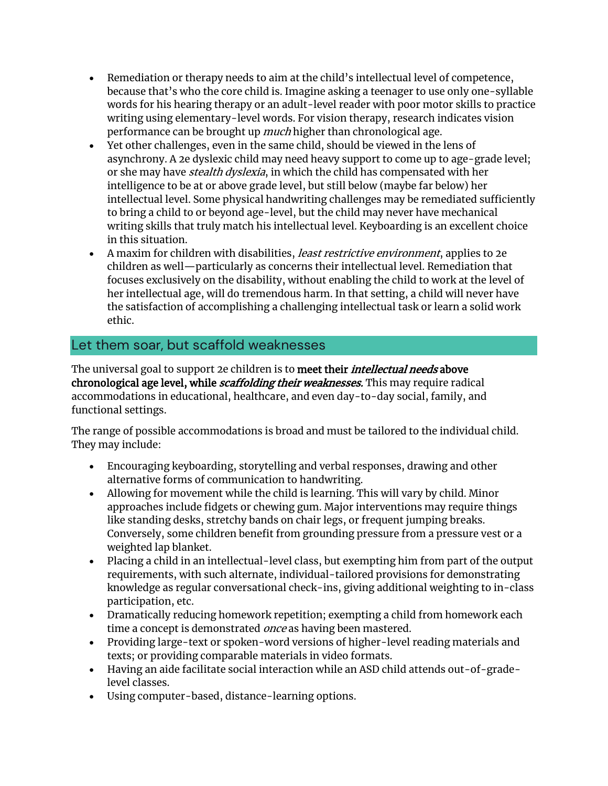- Remediation or therapy needs to aim at the child's intellectual level of competence, because that's who the core child is. Imagine asking a teenager to use only one-syllable words for his hearing therapy or an adult-level reader with poor motor skills to practice writing using elementary-level words. For vision therapy, research indicates vision performance can be brought up *much* higher than chronological age.
- Yet other challenges, even in the same child, should be viewed in the lens of asynchrony. A 2e dyslexic child may need heavy support to come up to age-grade level; or she may have *stealth dyslexia*, in which the child has compensated with her intelligence to be at or above grade level, but still below (maybe far below) her intellectual level. Some physical handwriting challenges may be remediated sufficiently to bring a child to or beyond age-level, but the child may never have mechanical writing skills that truly match his intellectual level. Keyboarding is an excellent choice in this situation.
- A maxim for children with disabilities, *least restrictive environment*, applies to 2e children as well—particularly as concerns their intellectual level. Remediation that focuses exclusively on the disability, without enabling the child to work at the level of her intellectual age, will do tremendous harm. In that setting, a child will never have the satisfaction of accomplishing a challenging intellectual task or learn a solid work ethic.

#### Let them soar, but scaffold weaknesses

The universal goal to support 2e children is to meet their *intellectual needs* above chronological age level, while *scaffolding their weaknesses*. This may require radical accommodations in educational, healthcare, and even day-to-day social, family, and functional settings.

The range of possible accommodations is broad and must be tailored to the individual child. They may include:

- Encouraging keyboarding, storytelling and verbal responses, drawing and other alternative forms of communication to handwriting.
- Allowing for movement while the child is learning. This will vary by child. Minor approaches include fidgets or chewing gum. Major interventions may require things like standing desks, stretchy bands on chair legs, or frequent jumping breaks. Conversely, some children benefit from grounding pressure from a pressure vest or a weighted lap blanket.
- Placing a child in an intellectual-level class, but exempting him from part of the output requirements, with such alternate, individual-tailored provisions for demonstrating knowledge as regular conversational check-ins, giving additional weighting to in-class participation, etc.
- Dramatically reducing homework repetition; exempting a child from homework each time a concept is demonstrated *once* as having been mastered.
- Providing large-text or spoken-word versions of higher-level reading materials and texts; or providing comparable materials in video formats.
- Having an aide facilitate social interaction while an ASD child attends out-of-gradelevel classes.
- Using computer-based, distance-learning options.